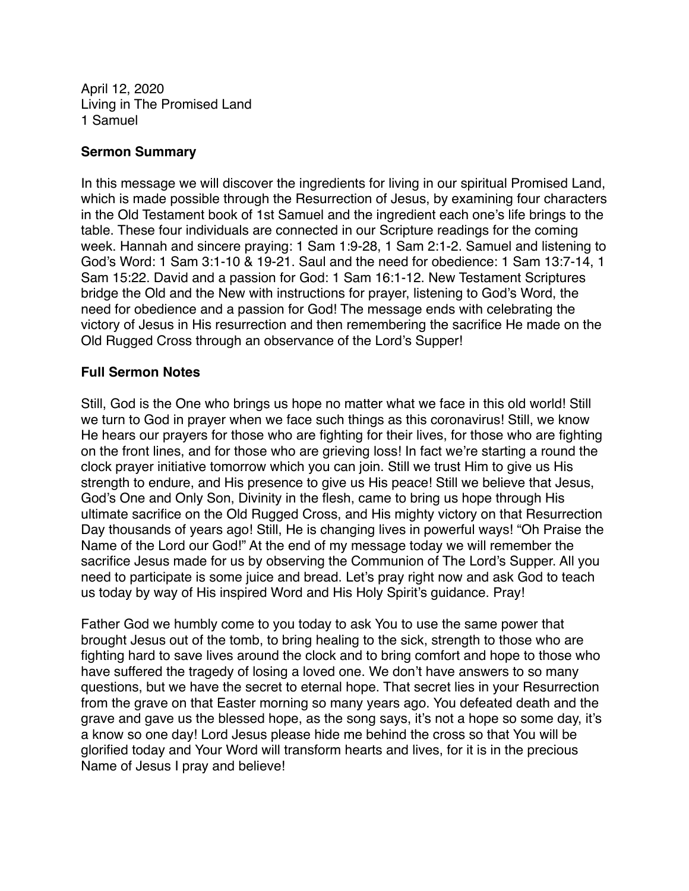April 12, 2020 Living in The Promised Land 1 Samuel

### **Sermon Summary**

In this message we will discover the ingredients for living in our spiritual Promised Land, which is made possible through the Resurrection of Jesus, by examining four characters in the Old Testament book of 1st Samuel and the ingredient each one's life brings to the table. These four individuals are connected in our Scripture readings for the coming week. Hannah and sincere praying: 1 Sam 1:9-28, 1 Sam 2:1-2. Samuel and listening to God's Word: 1 Sam 3:1-10 & 19-21. Saul and the need for obedience: 1 Sam 13:7-14, 1 Sam 15:22. David and a passion for God: 1 Sam 16:1-12. New Testament Scriptures bridge the Old and the New with instructions for prayer, listening to God's Word, the need for obedience and a passion for God! The message ends with celebrating the victory of Jesus in His resurrection and then remembering the sacrifice He made on the Old Rugged Cross through an observance of the Lord's Supper!

### **Full Sermon Notes**

Still, God is the One who brings us hope no matter what we face in this old world! Still we turn to God in prayer when we face such things as this coronavirus! Still, we know He hears our prayers for those who are fighting for their lives, for those who are fighting on the front lines, and for those who are grieving loss! In fact we're starting a round the clock prayer initiative tomorrow which you can join. Still we trust Him to give us His strength to endure, and His presence to give us His peace! Still we believe that Jesus, God's One and Only Son, Divinity in the flesh, came to bring us hope through His ultimate sacrifice on the Old Rugged Cross, and His mighty victory on that Resurrection Day thousands of years ago! Still, He is changing lives in powerful ways! "Oh Praise the Name of the Lord our God!" At the end of my message today we will remember the sacrifice Jesus made for us by observing the Communion of The Lord's Supper. All you need to participate is some juice and bread. Let's pray right now and ask God to teach us today by way of His inspired Word and His Holy Spirit's guidance. Pray!

Father God we humbly come to you today to ask You to use the same power that brought Jesus out of the tomb, to bring healing to the sick, strength to those who are fighting hard to save lives around the clock and to bring comfort and hope to those who have suffered the tragedy of losing a loved one. We don't have answers to so many questions, but we have the secret to eternal hope. That secret lies in your Resurrection from the grave on that Easter morning so many years ago. You defeated death and the grave and gave us the blessed hope, as the song says, it's not a hope so some day, it's a know so one day! Lord Jesus please hide me behind the cross so that You will be glorified today and Your Word will transform hearts and lives, for it is in the precious Name of Jesus I pray and believe!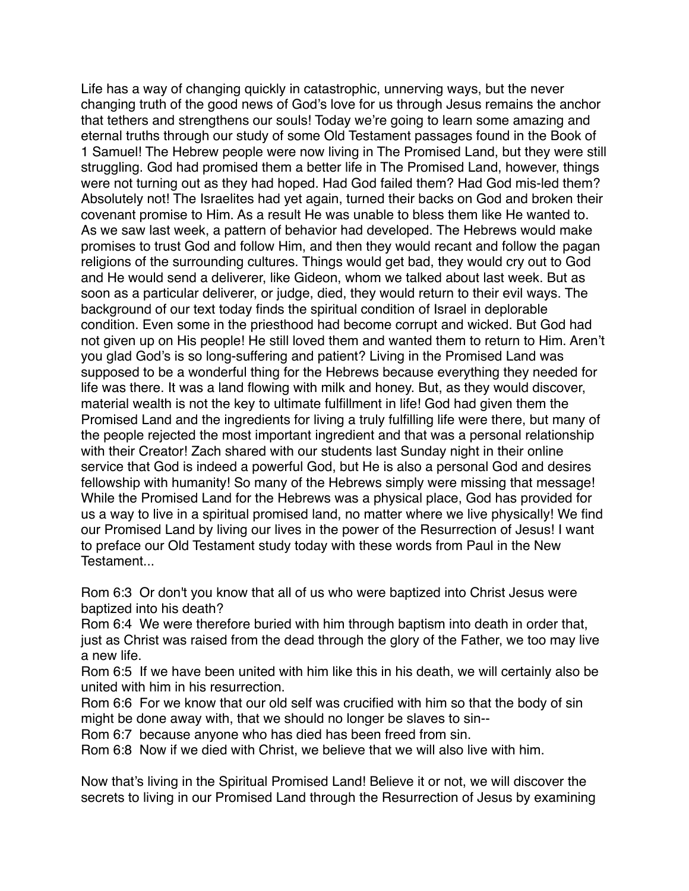Life has a way of changing quickly in catastrophic, unnerving ways, but the never changing truth of the good news of God's love for us through Jesus remains the anchor that tethers and strengthens our souls! Today we're going to learn some amazing and eternal truths through our study of some Old Testament passages found in the Book of 1 Samuel! The Hebrew people were now living in The Promised Land, but they were still struggling. God had promised them a better life in The Promised Land, however, things were not turning out as they had hoped. Had God failed them? Had God mis-led them? Absolutely not! The Israelites had yet again, turned their backs on God and broken their covenant promise to Him. As a result He was unable to bless them like He wanted to. As we saw last week, a pattern of behavior had developed. The Hebrews would make promises to trust God and follow Him, and then they would recant and follow the pagan religions of the surrounding cultures. Things would get bad, they would cry out to God and He would send a deliverer, like Gideon, whom we talked about last week. But as soon as a particular deliverer, or judge, died, they would return to their evil ways. The background of our text today finds the spiritual condition of Israel in deplorable condition. Even some in the priesthood had become corrupt and wicked. But God had not given up on His people! He still loved them and wanted them to return to Him. Aren't you glad God's is so long-suffering and patient? Living in the Promised Land was supposed to be a wonderful thing for the Hebrews because everything they needed for life was there. It was a land flowing with milk and honey. But, as they would discover, material wealth is not the key to ultimate fulfillment in life! God had given them the Promised Land and the ingredients for living a truly fulfilling life were there, but many of the people rejected the most important ingredient and that was a personal relationship with their Creator! Zach shared with our students last Sunday night in their online service that God is indeed a powerful God, but He is also a personal God and desires fellowship with humanity! So many of the Hebrews simply were missing that message! While the Promised Land for the Hebrews was a physical place, God has provided for us a way to live in a spiritual promised land, no matter where we live physically! We find our Promised Land by living our lives in the power of the Resurrection of Jesus! I want to preface our Old Testament study today with these words from Paul in the New Testament...

Rom 6:3 Or don't you know that all of us who were baptized into Christ Jesus were baptized into his death?

Rom 6:4 We were therefore buried with him through baptism into death in order that, just as Christ was raised from the dead through the glory of the Father, we too may live a new life.

Rom 6:5 If we have been united with him like this in his death, we will certainly also be united with him in his resurrection.

Rom 6:6 For we know that our old self was crucified with him so that the body of sin might be done away with, that we should no longer be slaves to sin--

Rom 6:7 because anyone who has died has been freed from sin.

Rom 6:8 Now if we died with Christ, we believe that we will also live with him.

Now that's living in the Spiritual Promised Land! Believe it or not, we will discover the secrets to living in our Promised Land through the Resurrection of Jesus by examining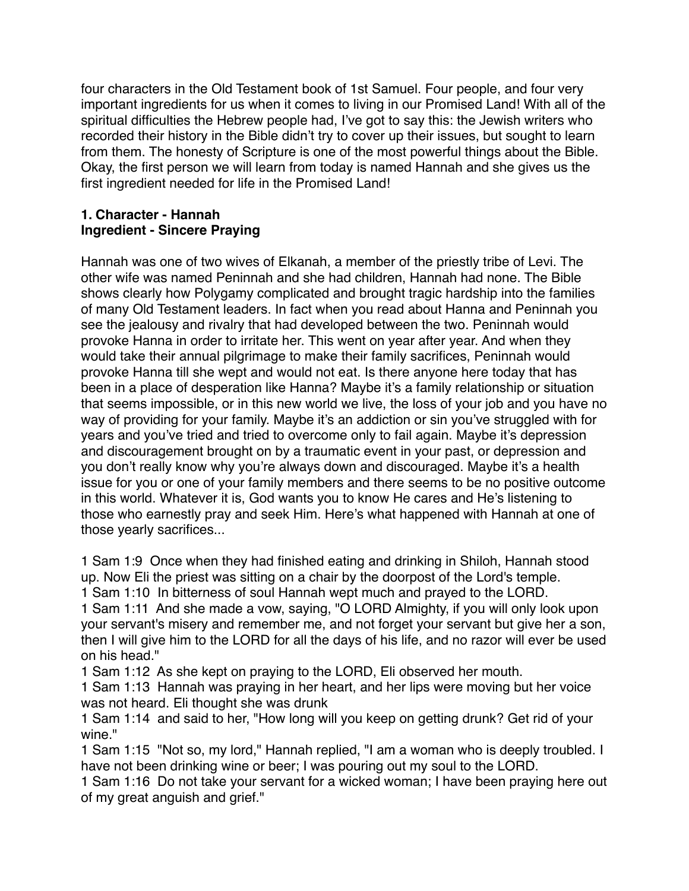four characters in the Old Testament book of 1st Samuel. Four people, and four very important ingredients for us when it comes to living in our Promised Land! With all of the spiritual difficulties the Hebrew people had, I've got to say this: the Jewish writers who recorded their history in the Bible didn't try to cover up their issues, but sought to learn from them. The honesty of Scripture is one of the most powerful things about the Bible. Okay, the first person we will learn from today is named Hannah and she gives us the first ingredient needed for life in the Promised Land!

# **1. Character - Hannah Ingredient - Sincere Praying**

Hannah was one of two wives of Elkanah, a member of the priestly tribe of Levi. The other wife was named Peninnah and she had children, Hannah had none. The Bible shows clearly how Polygamy complicated and brought tragic hardship into the families of many Old Testament leaders. In fact when you read about Hanna and Peninnah you see the jealousy and rivalry that had developed between the two. Peninnah would provoke Hanna in order to irritate her. This went on year after year. And when they would take their annual pilgrimage to make their family sacrifices, Peninnah would provoke Hanna till she wept and would not eat. Is there anyone here today that has been in a place of desperation like Hanna? Maybe it's a family relationship or situation that seems impossible, or in this new world we live, the loss of your job and you have no way of providing for your family. Maybe it's an addiction or sin you've struggled with for years and you've tried and tried to overcome only to fail again. Maybe it's depression and discouragement brought on by a traumatic event in your past, or depression and you don't really know why you're always down and discouraged. Maybe it's a health issue for you or one of your family members and there seems to be no positive outcome in this world. Whatever it is, God wants you to know He cares and He's listening to those who earnestly pray and seek Him. Here's what happened with Hannah at one of those yearly sacrifices...

1 Sam 1:9 Once when they had finished eating and drinking in Shiloh, Hannah stood up. Now Eli the priest was sitting on a chair by the doorpost of the Lord's temple. 1 Sam 1:10 In bitterness of soul Hannah wept much and prayed to the LORD. 1 Sam 1:11 And she made a vow, saying, "O LORD Almighty, if you will only look upon your servant's misery and remember me, and not forget your servant but give her a son, then I will give him to the LORD for all the days of his life, and no razor will ever be used

on his head."

1 Sam 1:12 As she kept on praying to the LORD, Eli observed her mouth.

1 Sam 1:13 Hannah was praying in her heart, and her lips were moving but her voice was not heard. Eli thought she was drunk

1 Sam 1:14 and said to her, "How long will you keep on getting drunk? Get rid of your wine."

1 Sam 1:15 "Not so, my lord," Hannah replied, "I am a woman who is deeply troubled. I have not been drinking wine or beer; I was pouring out my soul to the LORD.

1 Sam 1:16 Do not take your servant for a wicked woman; I have been praying here out of my great anguish and grief."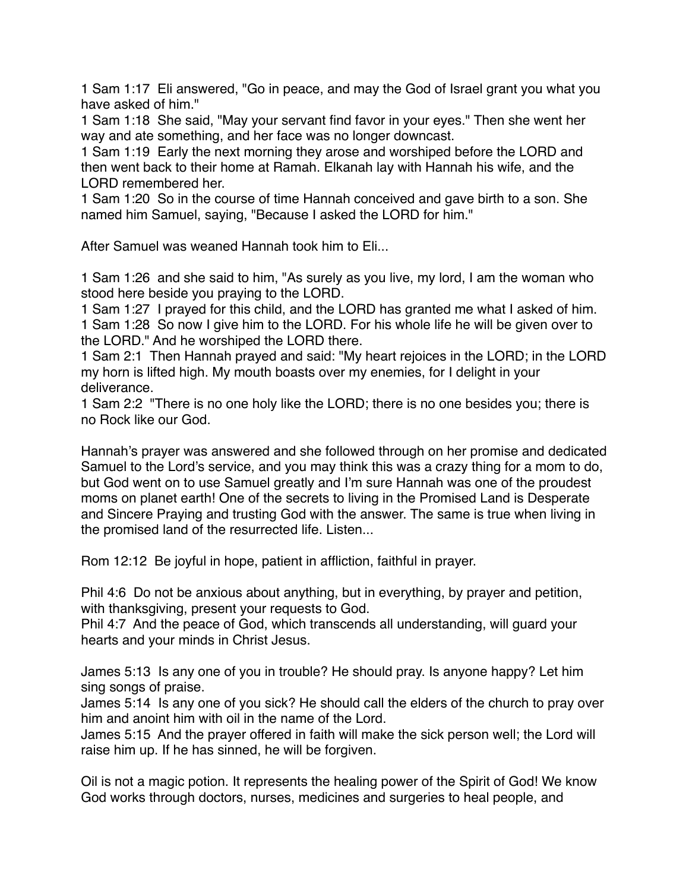1 Sam 1:17 Eli answered, "Go in peace, and may the God of Israel grant you what you have asked of him."

1 Sam 1:18 She said, "May your servant find favor in your eyes." Then she went her way and ate something, and her face was no longer downcast.

1 Sam 1:19 Early the next morning they arose and worshiped before the LORD and then went back to their home at Ramah. Elkanah lay with Hannah his wife, and the LORD remembered her.

1 Sam 1:20 So in the course of time Hannah conceived and gave birth to a son. She named him Samuel, saying, "Because I asked the LORD for him."

After Samuel was weaned Hannah took him to Eli...

1 Sam 1:26 and she said to him, "As surely as you live, my lord, I am the woman who stood here beside you praying to the LORD.

1 Sam 1:27 I prayed for this child, and the LORD has granted me what I asked of him. 1 Sam 1:28 So now I give him to the LORD. For his whole life he will be given over to the LORD." And he worshiped the LORD there.

1 Sam 2:1 Then Hannah prayed and said: "My heart rejoices in the LORD; in the LORD my horn is lifted high. My mouth boasts over my enemies, for I delight in your deliverance.

1 Sam 2:2 "There is no one holy like the LORD; there is no one besides you; there is no Rock like our God.

Hannah's prayer was answered and she followed through on her promise and dedicated Samuel to the Lord's service, and you may think this was a crazy thing for a mom to do, but God went on to use Samuel greatly and I'm sure Hannah was one of the proudest moms on planet earth! One of the secrets to living in the Promised Land is Desperate and Sincere Praying and trusting God with the answer. The same is true when living in the promised land of the resurrected life. Listen...

Rom 12:12 Be joyful in hope, patient in affliction, faithful in prayer.

Phil 4:6 Do not be anxious about anything, but in everything, by prayer and petition, with thanksgiving, present your requests to God.

Phil 4:7 And the peace of God, which transcends all understanding, will guard your hearts and your minds in Christ Jesus.

James 5:13 Is any one of you in trouble? He should pray. Is anyone happy? Let him sing songs of praise.

James 5:14 Is any one of you sick? He should call the elders of the church to pray over him and anoint him with oil in the name of the Lord.

James 5:15 And the prayer offered in faith will make the sick person well; the Lord will raise him up. If he has sinned, he will be forgiven.

Oil is not a magic potion. It represents the healing power of the Spirit of God! We know God works through doctors, nurses, medicines and surgeries to heal people, and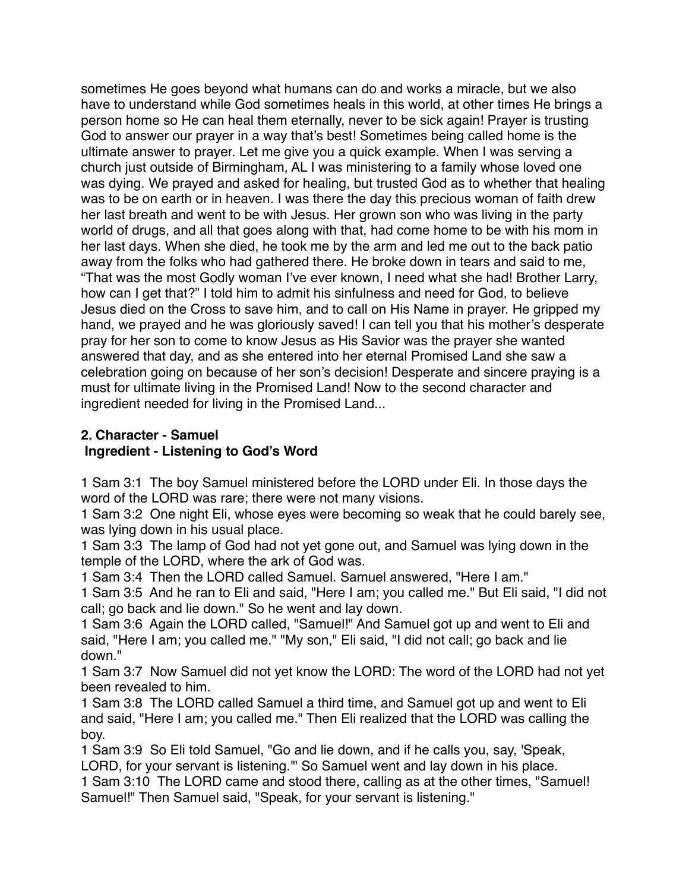sometimes He goes beyond what humans can do and works a miracle, but we also have to understand while God sometimes heals in this world, at other times He brings a person home so He can heal them eternally, never to be sick again! Prayer is trusting God to answer our prayer in a way that's best! Sometimes being called home is the ultimate answer to prayer. Let me give you a quick example. When I was serving a church just outside of Birmingham, AL I was ministering to a family whose loved one was dying. We prayed and asked for healing, but trusted God as to whether that healing was to be on earth or in heaven. I was there the day this precious woman of faith drew her last breath and went to be with Jesus. Her grown son who was living in the party world of drugs, and all that goes along with that, had come home to be with his mom in her last days. When she died, he took me by the arm and led me out to the back patio away from the folks who had gathered there. He broke down in tears and said to me, "That was the most Godly woman I've ever known, I need what she had! Brother Larry, how can I get that?" I told him to admit his sinfulness and need for God, to believe Jesus died on the Cross to save him, and to call on His Name in prayer. He gripped my hand, we prayed and he was gloriously saved! I can tell you that his mother's desperate pray for her son to come to know Jesus as His Savior was the prayer she wanted answered that day, and as she entered into her eternal Promised Land she saw a celebration going on because of her son's decision! Desperate and sincere praying is a must for ultimate living in the Promised Land! Now to the second character and ingredient needed for living in the Promised Land...

# **2. Character - Samuel Ingredient - Listening to God's Word**

1 Sam 3:1 The boy Samuel ministered before the LORD under Eli. In those days the word of the LORD was rare; there were not many visions.

1 Sam 3:2 One night Eli, whose eyes were becoming so weak that he could barely see, was lying down in his usual place.

1 Sam 3:3 The lamp of God had not yet gone out, and Samuel was lying down in the temple of the LORD, where the ark of God was.

1 Sam 3:4 Then the LORD called Samuel. Samuel answered, "Here I am."

1 Sam 3:5 And he ran to Eli and said, "Here I am; you called me." But Eli said, "I did not call; go back and lie down." So he went and lay down.

1 Sam 3:6 Again the LORD called, "Samuel!" And Samuel got up and went to Eli and said, "Here I am; you called me." "My son," Eli said, "I did not call; go back and lie down."

1 Sam 3:7 Now Samuel did not yet know the LORD: The word of the LORD had not yet been revealed to him.

1 Sam 3:8 The LORD called Samuel a third time, and Samuel got up and went to Eli and said, "Here I am; you called me." Then Eli realized that the LORD was calling the boy.

1 Sam 3:9 So Eli told Samuel, "Go and lie down, and if he calls you, say, 'Speak, LORD, for your servant is listening.'" So Samuel went and lay down in his place.

1 Sam 3:10 The LORD came and stood there, calling as at the other times, "Samuel! Samuel!" Then Samuel said, "Speak, for your servant is listening."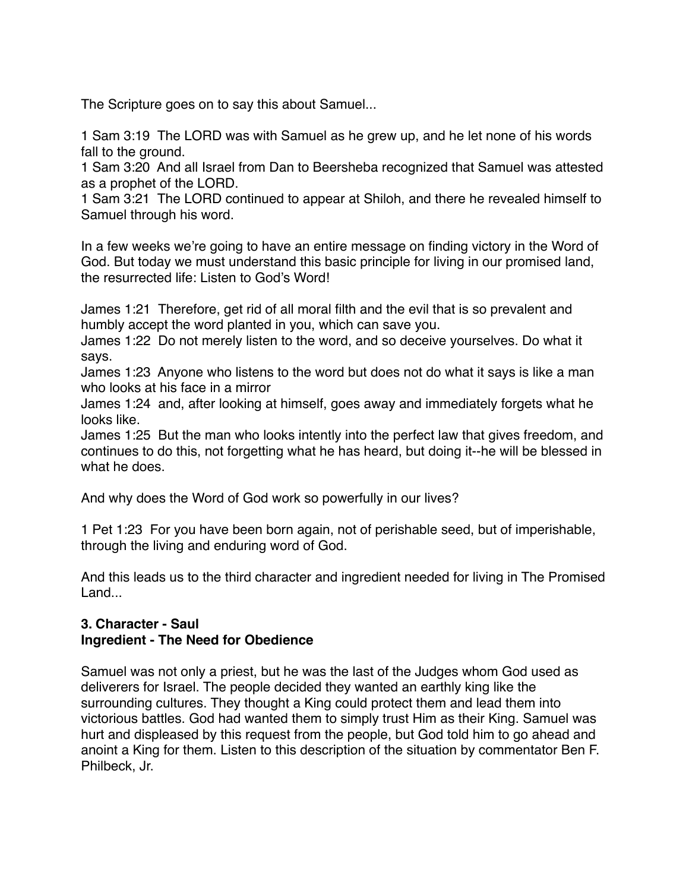The Scripture goes on to say this about Samuel...

1 Sam 3:19 The LORD was with Samuel as he grew up, and he let none of his words fall to the ground.

1 Sam 3:20 And all Israel from Dan to Beersheba recognized that Samuel was attested as a prophet of the LORD.

1 Sam 3:21 The LORD continued to appear at Shiloh, and there he revealed himself to Samuel through his word.

In a few weeks we're going to have an entire message on finding victory in the Word of God. But today we must understand this basic principle for living in our promised land, the resurrected life: Listen to God's Word!

James 1:21 Therefore, get rid of all moral filth and the evil that is so prevalent and humbly accept the word planted in you, which can save you.

James 1:22 Do not merely listen to the word, and so deceive yourselves. Do what it says.

James 1:23 Anyone who listens to the word but does not do what it says is like a man who looks at his face in a mirror

James 1:24 and, after looking at himself, goes away and immediately forgets what he looks like.

James 1:25 But the man who looks intently into the perfect law that gives freedom, and continues to do this, not forgetting what he has heard, but doing it--he will be blessed in what he does.

And why does the Word of God work so powerfully in our lives?

1 Pet 1:23 For you have been born again, not of perishable seed, but of imperishable, through the living and enduring word of God.

And this leads us to the third character and ingredient needed for living in The Promised Land...

# **3. Character - Saul Ingredient - The Need for Obedience**

Samuel was not only a priest, but he was the last of the Judges whom God used as deliverers for Israel. The people decided they wanted an earthly king like the surrounding cultures. They thought a King could protect them and lead them into victorious battles. God had wanted them to simply trust Him as their King. Samuel was hurt and displeased by this request from the people, but God told him to go ahead and anoint a King for them. Listen to this description of the situation by commentator Ben F. Philbeck, Jr.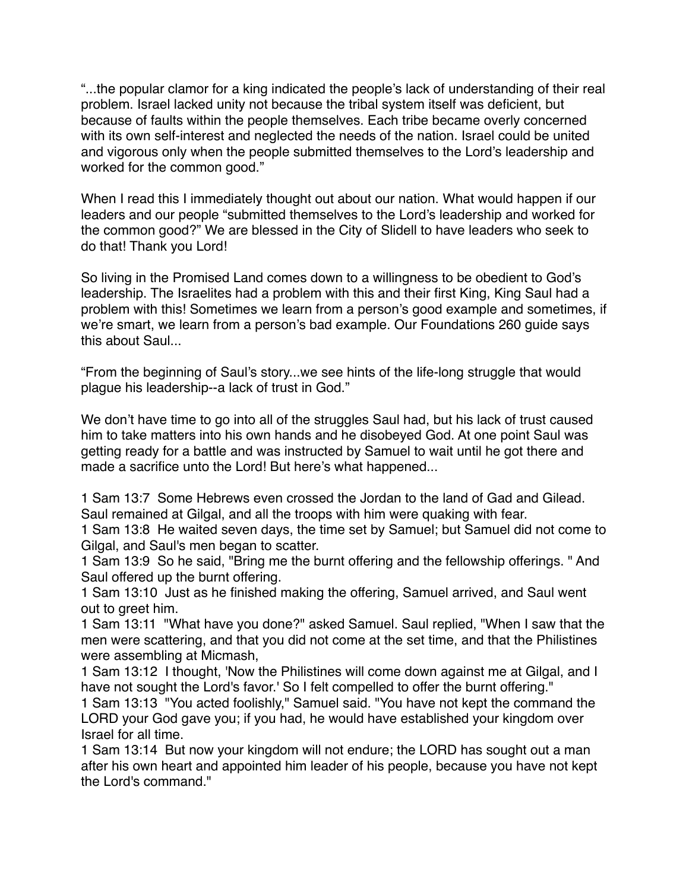"...the popular clamor for a king indicated the people's lack of understanding of their real problem. Israel lacked unity not because the tribal system itself was deficient, but because of faults within the people themselves. Each tribe became overly concerned with its own self-interest and neglected the needs of the nation. Israel could be united and vigorous only when the people submitted themselves to the Lord's leadership and worked for the common good."

When I read this I immediately thought out about our nation. What would happen if our leaders and our people "submitted themselves to the Lord's leadership and worked for the common good?" We are blessed in the City of Slidell to have leaders who seek to do that! Thank you Lord!

So living in the Promised Land comes down to a willingness to be obedient to God's leadership. The Israelites had a problem with this and their first King, King Saul had a problem with this! Sometimes we learn from a person's good example and sometimes, if we're smart, we learn from a person's bad example. Our Foundations 260 guide says this about Saul...

"From the beginning of Saul's story...we see hints of the life-long struggle that would plague his leadership--a lack of trust in God."

We don't have time to go into all of the struggles Saul had, but his lack of trust caused him to take matters into his own hands and he disobeyed God. At one point Saul was getting ready for a battle and was instructed by Samuel to wait until he got there and made a sacrifice unto the Lord! But here's what happened...

1 Sam 13:7 Some Hebrews even crossed the Jordan to the land of Gad and Gilead. Saul remained at Gilgal, and all the troops with him were quaking with fear.

1 Sam 13:8 He waited seven days, the time set by Samuel; but Samuel did not come to Gilgal, and Saul's men began to scatter.

1 Sam 13:9 So he said, "Bring me the burnt offering and the fellowship offerings. " And Saul offered up the burnt offering.

1 Sam 13:10 Just as he finished making the offering, Samuel arrived, and Saul went out to greet him.

1 Sam 13:11 "What have you done?" asked Samuel. Saul replied, "When I saw that the men were scattering, and that you did not come at the set time, and that the Philistines were assembling at Micmash,

1 Sam 13:12 I thought, 'Now the Philistines will come down against me at Gilgal, and I have not sought the Lord's favor.' So I felt compelled to offer the burnt offering."

1 Sam 13:13 "You acted foolishly," Samuel said. "You have not kept the command the LORD your God gave you; if you had, he would have established your kingdom over Israel for all time.

1 Sam 13:14 But now your kingdom will not endure; the LORD has sought out a man after his own heart and appointed him leader of his people, because you have not kept the Lord's command."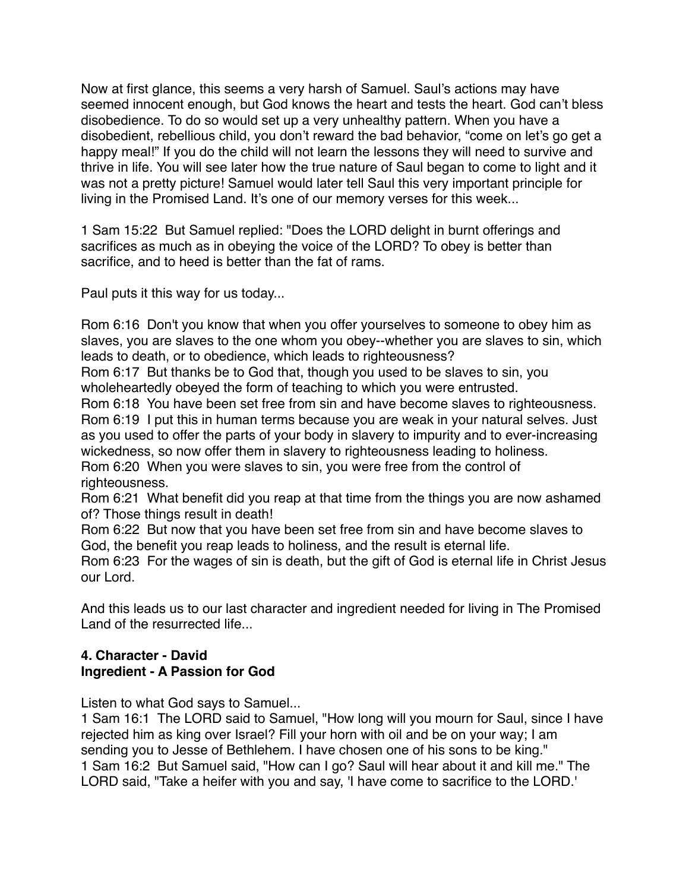Now at first glance, this seems a very harsh of Samuel. Saul's actions may have seemed innocent enough, but God knows the heart and tests the heart. God can't bless disobedience. To do so would set up a very unhealthy pattern. When you have a disobedient, rebellious child, you don't reward the bad behavior, "come on let's go get a happy meal!" If you do the child will not learn the lessons they will need to survive and thrive in life. You will see later how the true nature of Saul began to come to light and it was not a pretty picture! Samuel would later tell Saul this very important principle for living in the Promised Land. It's one of our memory verses for this week...

1 Sam 15:22 But Samuel replied: "Does the LORD delight in burnt offerings and sacrifices as much as in obeying the voice of the LORD? To obey is better than sacrifice, and to heed is better than the fat of rams.

Paul puts it this way for us today...

Rom 6:16 Don't you know that when you offer yourselves to someone to obey him as slaves, you are slaves to the one whom you obey--whether you are slaves to sin, which leads to death, or to obedience, which leads to righteousness?

Rom 6:17 But thanks be to God that, though you used to be slaves to sin, you wholeheartedly obeyed the form of teaching to which you were entrusted.

Rom 6:18 You have been set free from sin and have become slaves to righteousness. Rom 6:19 I put this in human terms because you are weak in your natural selves. Just as you used to offer the parts of your body in slavery to impurity and to ever-increasing wickedness, so now offer them in slavery to righteousness leading to holiness.

Rom 6:20 When you were slaves to sin, you were free from the control of righteousness.

Rom 6:21 What benefit did you reap at that time from the things you are now ashamed of? Those things result in death!

Rom 6:22 But now that you have been set free from sin and have become slaves to God, the benefit you reap leads to holiness, and the result is eternal life.

Rom 6:23 For the wages of sin is death, but the gift of God is eternal life in Christ Jesus our Lord.

And this leads us to our last character and ingredient needed for living in The Promised Land of the resurrected life.

# **4. Character - David Ingredient - A Passion for God**

Listen to what God says to Samuel...

1 Sam 16:1 The LORD said to Samuel, "How long will you mourn for Saul, since I have rejected him as king over Israel? Fill your horn with oil and be on your way; I am sending you to Jesse of Bethlehem. I have chosen one of his sons to be king." 1 Sam 16:2 But Samuel said, "How can I go? Saul will hear about it and kill me." The LORD said, "Take a heifer with you and say, 'I have come to sacrifice to the LORD.'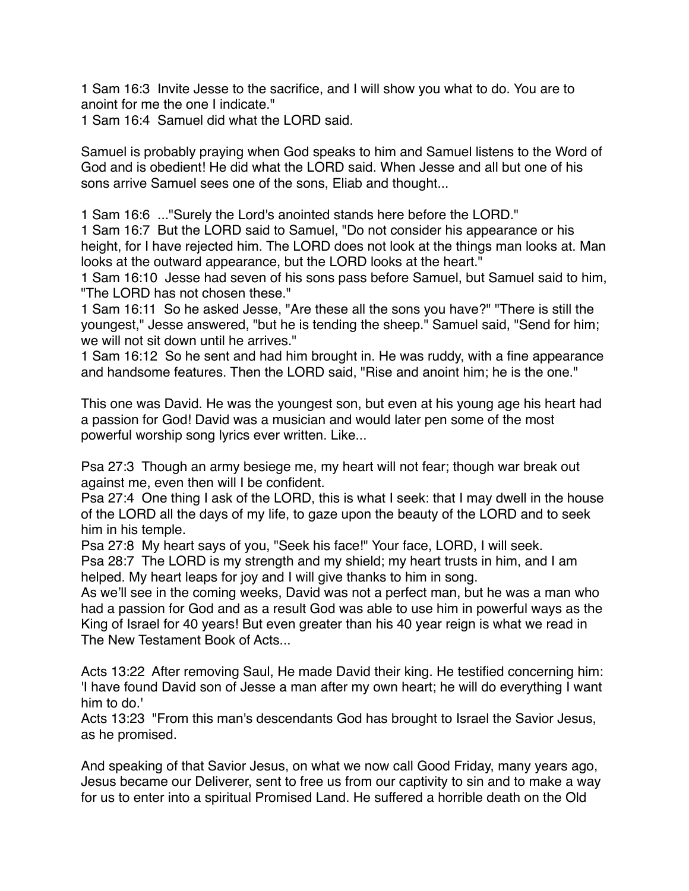1 Sam 16:3 Invite Jesse to the sacrifice, and I will show you what to do. You are to anoint for me the one I indicate."

1 Sam 16:4 Samuel did what the LORD said.

Samuel is probably praying when God speaks to him and Samuel listens to the Word of God and is obedient! He did what the LORD said. When Jesse and all but one of his sons arrive Samuel sees one of the sons, Eliab and thought...

1 Sam 16:6 ..."Surely the Lord's anointed stands here before the LORD."

1 Sam 16:7 But the LORD said to Samuel, "Do not consider his appearance or his height, for I have rejected him. The LORD does not look at the things man looks at. Man looks at the outward appearance, but the LORD looks at the heart."

1 Sam 16:10 Jesse had seven of his sons pass before Samuel, but Samuel said to him, "The LORD has not chosen these."

1 Sam 16:11 So he asked Jesse, "Are these all the sons you have?" "There is still the youngest," Jesse answered, "but he is tending the sheep." Samuel said, "Send for him; we will not sit down until he arrives."

1 Sam 16:12 So he sent and had him brought in. He was ruddy, with a fine appearance and handsome features. Then the LORD said, "Rise and anoint him; he is the one."

This one was David. He was the youngest son, but even at his young age his heart had a passion for God! David was a musician and would later pen some of the most powerful worship song lyrics ever written. Like...

Psa 27:3 Though an army besiege me, my heart will not fear; though war break out against me, even then will I be confident.

Psa 27:4 One thing I ask of the LORD, this is what I seek: that I may dwell in the house of the LORD all the days of my life, to gaze upon the beauty of the LORD and to seek him in his temple.

Psa 27:8 My heart says of you, "Seek his face!" Your face, LORD, I will seek.

Psa 28:7 The LORD is my strength and my shield; my heart trusts in him, and I am helped. My heart leaps for joy and I will give thanks to him in song.

As we'll see in the coming weeks, David was not a perfect man, but he was a man who had a passion for God and as a result God was able to use him in powerful ways as the King of Israel for 40 years! But even greater than his 40 year reign is what we read in The New Testament Book of Acts...

Acts 13:22 After removing Saul, He made David their king. He testified concerning him: 'I have found David son of Jesse a man after my own heart; he will do everything I want him to do.'

Acts 13:23 "From this man's descendants God has brought to Israel the Savior Jesus, as he promised.

And speaking of that Savior Jesus, on what we now call Good Friday, many years ago, Jesus became our Deliverer, sent to free us from our captivity to sin and to make a way for us to enter into a spiritual Promised Land. He suffered a horrible death on the Old